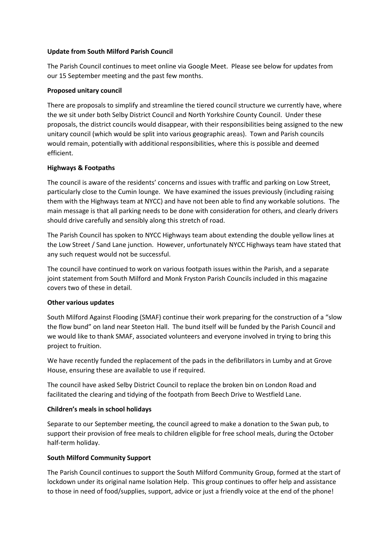#### **Update from South Milford Parish Council**

The Parish Council continues to meet online via Google Meet. Please see below for updates from our 15 September meeting and the past few months.

#### **Proposed unitary council**

There are proposals to simplify and streamline the tiered council structure we currently have, where the we sit under both Selby District Council and North Yorkshire County Council. Under these proposals, the district councils would disappear, with their responsibilities being assigned to the new unitary council (which would be split into various geographic areas). Town and Parish councils would remain, potentially with additional responsibilities, where this is possible and deemed efficient.

#### **Highways & Footpaths**

The council is aware of the residents' concerns and issues with traffic and parking on Low Street, particularly close to the Cumin lounge. We have examined the issues previously (including raising them with the Highways team at NYCC) and have not been able to find any workable solutions. The main message is that all parking needs to be done with consideration for others, and clearly drivers should drive carefully and sensibly along this stretch of road.

The Parish Council has spoken to NYCC Highways team about extending the double yellow lines at the Low Street / Sand Lane junction. However, unfortunately NYCC Highways team have stated that any such request would not be successful.

The council have continued to work on various footpath issues within the Parish, and a separate joint statement from South Milford and Monk Fryston Parish Councils included in this magazine covers two of these in detail.

# **Other various updates**

South Milford Against Flooding (SMAF) continue their work preparing for the construction of a "slow the flow bund" on land near Steeton Hall. The bund itself will be funded by the Parish Council and we would like to thank SMAF, associated volunteers and everyone involved in trying to bring this project to fruition.

We have recently funded the replacement of the pads in the defibrillators in Lumby and at Grove House, ensuring these are available to use if required.

The council have asked Selby District Council to replace the broken bin on London Road and facilitated the clearing and tidying of the footpath from Beech Drive to Westfield Lane.

# **Children's meals in school holidays**

Separate to our September meeting, the council agreed to make a donation to the Swan pub, to support their provision of free meals to children eligible for free school meals, during the October half-term holiday.

# **South Milford Community Support**

The Parish Council continues to support the South Milford Community Group, formed at the start of lockdown under its original name Isolation Help. This group continues to offer help and assistance to those in need of food/supplies, support, advice or just a friendly voice at the end of the phone!